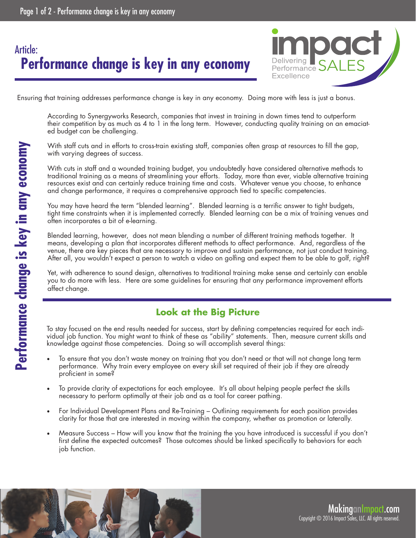# **Performance change is key in any economy** Article:



Ensuring that training addresses performance change is key in any economy. Doing more with less is just a bonus.

According to Synergyworks Research, companies that invest in training in down times tend to outperform their competition by as much as 4 to 1 in the long term. However, conducting quality training on an emaciated budget can be challenging.

With staff cuts and in efforts to cross-train existing staff, companies often grasp at resources to fill the gap, with varying degrees of success.

With cuts in staff and a wounded training budget, you undoubtedly have considered alternative methods to traditional training as a means of streamlining your efforts. Today, more than ever, viable alternative training resources exist and can certainly reduce training time and costs. Whatever venue you choose, to enhance and change performance, it requires a comprehensive approach tied to specific competencies.

You may have heard the term "blended learning". Blended learning is a terrific answer to tight budgets, tight time constraints when it is implemented correctly. Blended learning can be a mix of training venues and often incorporates a bit of e-learning.

Blended learning, however, does not mean blending a number of different training methods together. It means, developing a plan that incorporates different methods to affect performance. And, regardless of the venue, there are key pieces that are necessary to improve and sustain performance, not just conduct training. After all, you wouldn't expect a person to watch a video on golfing and expect them to be able to golf, right?

Yet, with adherence to sound design, alternatives to traditional training make sense and certainly can enable you to do more with less. Here are some guidelines for ensuring that any performance improvement efforts affect change.

#### **Look at the Big Picture**

To stay focused on the end results needed for success, start by defining competencies required for each individual job function. You might want to think of these as "ability" statements. Then, measure current skills and knowledge against those competencies. Doing so will accomplish several things:

- To ensure that you don't waste money on training that you don't need or that will not change long term performance. Why train every employee on every skill set required of their job if they are already proficient in some?
- To provide clarity of expectations for each employee. It's all about helping people perfect the skills necessary to perform optimally at their job and as a tool for career pathing.
- For Individual Development Plans and Re-Training Outlining requirements for each position provides clarity for those that are interested in moving within the company, whether as promotion or laterally.
- Measure Success How will you know that the training the you have introduced is successful if you don't first define the expected outcomes? Those outcomes should be linked specifically to behaviors for each job function.